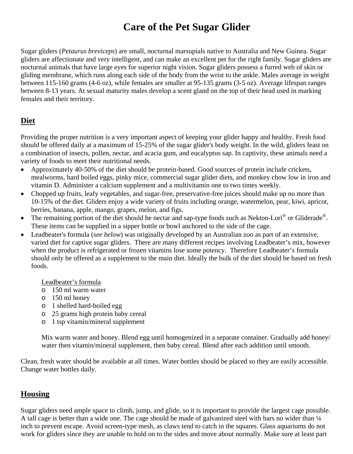# **Care of the Pet Sugar Glider**

Sugar gliders (*Petaurus breviceps*) are small, nocturnal marsupials native to Australia and New Guinea. Sugar gliders are affectionate and very intelligent, and can make an excellent pet for the right family. Sugar gliders are nocturnal animals that have large eyes for superior night vision. Sugar gliders possess a furred web of skin or gliding membrane, which runs along each side of the body from the wrist to the ankle. Males average in weight between 115-160 grams (4-6 oz), while females are smaller at 95-135 grams (3-5 oz). Average lifespan ranges between 8-13 years. At sexual maturity males develop a scent gland on the top of their head used in marking females and their territory.

## **Diet**

Providing the proper nutrition is a very important aspect of keeping your glider happy and healthy. Fresh food should be offered daily at a maximum of 15-25% of the sugar glider's body weight. In the wild, gliders feast on a combination of insects, pollen, nectar, and acacia gum, and eucalyptus sap. In captivity, these animals need a variety of foods to meet their nutritional needs.

- Approximately 40-50% of the diet should be protein-based. Good sources of protein include crickets, mealworms, hard boiled eggs, pinky mice, commercial sugar glider diets, and monkey chow low in iron and vitamin D. Administer a calcium supplement and a multivitamin one to two times weekly.
- Chopped up fruits, leafy vegetables, and sugar-free, preservative-free juices should make up no more than 10-15% of the diet. Gliders enjoy a wide variety of fruits including orange, watermelon, pear, kiwi, apricot, berries, banana, apple, mango, grapes, melon, and figs.
- The remaining portion of the diet should be nectar and sap-type foods such as Nekton-Lori<sup>®</sup> or Gliderade<sup>®</sup>. These items can be supplied in a sipper bottle or bowl anchored to the side of the cage.
- Leadbeater's formula (*see below*) was originally developed by an Australian zoo as part of an extensive, varied diet for captive sugar gliders. There are many different recipes involving Leadbeater's mix, however when the product is refrigerated or frozen vitamins lose some potency. Therefore Leadbeater's formula should only be offered as a supplement to the main diet. Ideally the bulk of the diet should be based on fresh foods.

Leadbeater's formula

- o 150 ml warm water
- o 150 ml honey
- o 1 shelled hard-boiled egg
- o 25 grams high protein baby cereal
- o 1 tsp vitamin/mineral supplement

Mix warm water and honey. Blend egg until homogenized in a separate container. Gradually add honey/ water then vitamin/mineral supplement, then baby cereal. Blend after each addition until smooth.

Clean, fresh water should be available at all times. Water bottles should be placed so they are easily accessible. Change water bottles daily.

## **Housing**

Sugar gliders need ample space to climb, jump, and glide, so it is important to provide the largest cage possible. A tall cage is better than a wide one. The cage should be made of galvanized steel with bars no wider than 1/4 inch to prevent escape. Avoid screen-type mesh, as claws tend to catch in the squares. Glass aquariums do not work for gliders since they are unable to hold on to the sides and move about normally. Make sure at least part